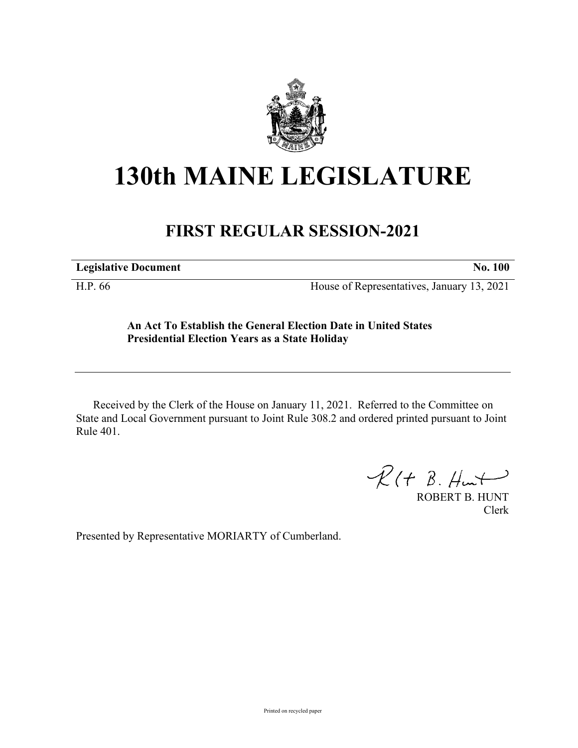

## **130th MAINE LEGISLATURE**

## **FIRST REGULAR SESSION-2021**

**Legislative Document No. 100**

H.P. 66 House of Representatives, January 13, 2021

## **An Act To Establish the General Election Date in United States Presidential Election Years as a State Holiday**

Received by the Clerk of the House on January 11, 2021. Referred to the Committee on State and Local Government pursuant to Joint Rule 308.2 and ordered printed pursuant to Joint Rule 401.

 $R(H B. H<sub>un</sub>)$ 

ROBERT B. HUNT Clerk

Presented by Representative MORIARTY of Cumberland.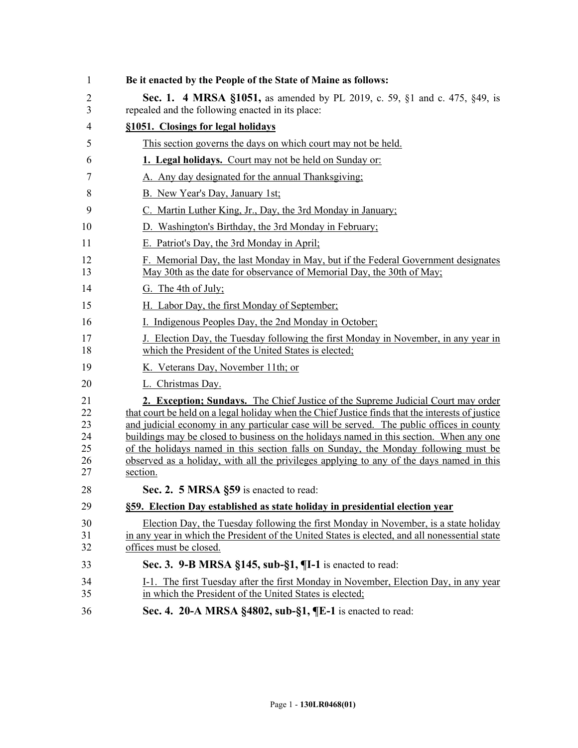| 1                                      | Be it enacted by the People of the State of Maine as follows:                                                                                                                                                                                                                                                                                                                                                                                                                                                                                                              |
|----------------------------------------|----------------------------------------------------------------------------------------------------------------------------------------------------------------------------------------------------------------------------------------------------------------------------------------------------------------------------------------------------------------------------------------------------------------------------------------------------------------------------------------------------------------------------------------------------------------------------|
| 2<br>3                                 | <b>Sec. 1. 4 MRSA §1051, as amended by PL 2019, c. 59, §1 and c. 475, §49, is</b><br>repealed and the following enacted in its place:                                                                                                                                                                                                                                                                                                                                                                                                                                      |
| 4                                      | §1051. Closings for legal holidays                                                                                                                                                                                                                                                                                                                                                                                                                                                                                                                                         |
| 5                                      | This section governs the days on which court may not be held.                                                                                                                                                                                                                                                                                                                                                                                                                                                                                                              |
| 6                                      | 1. Legal holidays. Court may not be held on Sunday or:                                                                                                                                                                                                                                                                                                                                                                                                                                                                                                                     |
| 7                                      | A. Any day designated for the annual Thanksgiving:                                                                                                                                                                                                                                                                                                                                                                                                                                                                                                                         |
| 8                                      | B. New Year's Day, January 1st;                                                                                                                                                                                                                                                                                                                                                                                                                                                                                                                                            |
| 9                                      | C. Martin Luther King, Jr., Day, the 3rd Monday in January;                                                                                                                                                                                                                                                                                                                                                                                                                                                                                                                |
| 10                                     | D. Washington's Birthday, the 3rd Monday in February;                                                                                                                                                                                                                                                                                                                                                                                                                                                                                                                      |
| 11                                     | E. Patriot's Day, the 3rd Monday in April.                                                                                                                                                                                                                                                                                                                                                                                                                                                                                                                                 |
| 12<br>13                               | F. Memorial Day, the last Monday in May, but if the Federal Government designates<br>May 30th as the date for observance of Memorial Day, the 30th of May;                                                                                                                                                                                                                                                                                                                                                                                                                 |
| 14                                     | G. The 4th of July;                                                                                                                                                                                                                                                                                                                                                                                                                                                                                                                                                        |
| 15                                     | H. Labor Day, the first Monday of September;                                                                                                                                                                                                                                                                                                                                                                                                                                                                                                                               |
| 16                                     | I. Indigenous Peoples Day, the 2nd Monday in October;                                                                                                                                                                                                                                                                                                                                                                                                                                                                                                                      |
| 17<br>18                               | J. Election Day, the Tuesday following the first Monday in November, in any year in<br>which the President of the United States is elected;                                                                                                                                                                                                                                                                                                                                                                                                                                |
| 19                                     | K. Veterans Day, November 11th; or                                                                                                                                                                                                                                                                                                                                                                                                                                                                                                                                         |
| 20                                     | L. Christmas Day.                                                                                                                                                                                                                                                                                                                                                                                                                                                                                                                                                          |
| 21<br>22<br>23<br>24<br>25<br>26<br>27 | 2. Exception; Sundays. The Chief Justice of the Supreme Judicial Court may order<br>that court be held on a legal holiday when the Chief Justice finds that the interests of justice<br>and judicial economy in any particular case will be served. The public offices in county<br>buildings may be closed to business on the holidays named in this section. When any one<br>of the holidays named in this section falls on Sunday, the Monday following must be<br>observed as a holiday, with all the privileges applying to any of the days named in this<br>section. |
| 28                                     | Sec. 2. 5 MRSA §59 is enacted to read:                                                                                                                                                                                                                                                                                                                                                                                                                                                                                                                                     |
| 29                                     | §59. Election Day established as state holiday in presidential election year                                                                                                                                                                                                                                                                                                                                                                                                                                                                                               |
| 30<br>31<br>32                         | Election Day, the Tuesday following the first Monday in November, is a state holiday<br>in any year in which the President of the United States is elected, and all nonessential state<br>offices must be closed.                                                                                                                                                                                                                                                                                                                                                          |
| 33                                     | Sec. 3. 9-B MRSA §145, sub-§1, ¶I-1 is enacted to read:                                                                                                                                                                                                                                                                                                                                                                                                                                                                                                                    |
| 34<br>35                               | I-1. The first Tuesday after the first Monday in November, Election Day, in any year<br>in which the President of the United States is elected;                                                                                                                                                                                                                                                                                                                                                                                                                            |
| 36                                     | Sec. 4. 20-A MRSA §4802, sub-§1, ¶E-1 is enacted to read:                                                                                                                                                                                                                                                                                                                                                                                                                                                                                                                  |